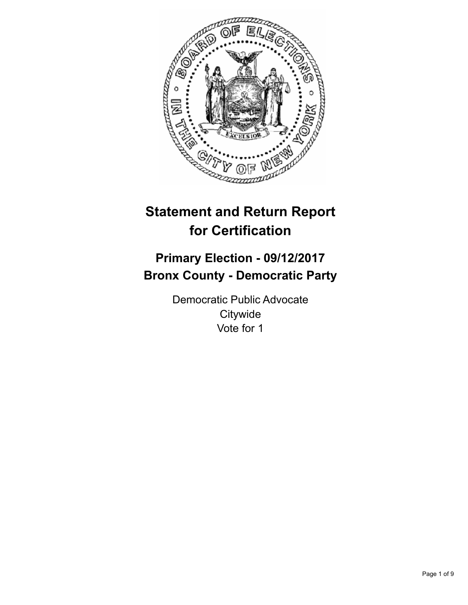

# **Statement and Return Report for Certification**

# **Primary Election - 09/12/2017 Bronx County - Democratic Party**

Democratic Public Advocate **Citywide** Vote for 1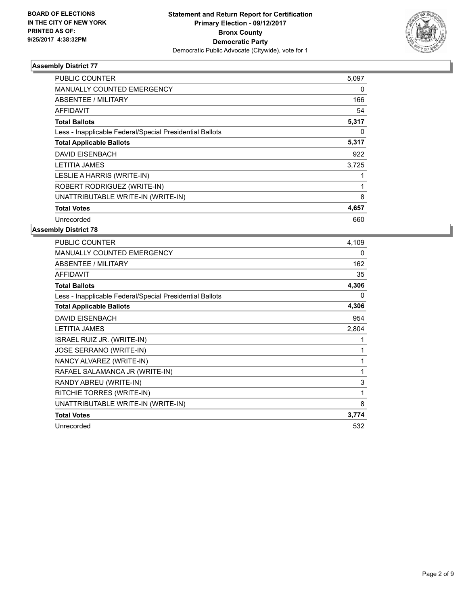

| PUBLIC COUNTER                                           | 5,097 |
|----------------------------------------------------------|-------|
| <b>MANUALLY COUNTED EMERGENCY</b>                        | 0     |
| ABSENTEE / MILITARY                                      | 166   |
| AFFIDAVIT                                                | 54    |
| <b>Total Ballots</b>                                     | 5,317 |
| Less - Inapplicable Federal/Special Presidential Ballots | 0     |
| <b>Total Applicable Ballots</b>                          | 5,317 |
| <b>DAVID EISENBACH</b>                                   | 922   |
| <b>LETITIA JAMES</b>                                     | 3,725 |
| LESLIE A HARRIS (WRITE-IN)                               |       |
| ROBERT RODRIGUEZ (WRITE-IN)                              |       |
| UNATTRIBUTABLE WRITE-IN (WRITE-IN)                       | 8     |
| <b>Total Votes</b>                                       | 4,657 |
| Unrecorded                                               | 660   |

| PUBLIC COUNTER                                           | 4,109 |
|----------------------------------------------------------|-------|
| <b>MANUALLY COUNTED EMERGENCY</b>                        | 0     |
| <b>ABSENTEE / MILITARY</b>                               | 162   |
| <b>AFFIDAVIT</b>                                         | 35    |
| <b>Total Ballots</b>                                     | 4,306 |
| Less - Inapplicable Federal/Special Presidential Ballots | 0     |
| <b>Total Applicable Ballots</b>                          | 4,306 |
| <b>DAVID EISENBACH</b>                                   | 954   |
| <b>LETITIA JAMES</b>                                     | 2,804 |
| ISRAEL RUIZ JR. (WRITE-IN)                               |       |
| <b>JOSE SERRANO (WRITE-IN)</b>                           |       |
| NANCY ALVAREZ (WRITE-IN)                                 | 1     |
| RAFAEL SALAMANCA JR (WRITE-IN)                           | 1     |
| RANDY ABREU (WRITE-IN)                                   | 3     |
| RITCHIE TORRES (WRITE-IN)                                | 1     |
| UNATTRIBUTABLE WRITE-IN (WRITE-IN)                       | 8     |
| <b>Total Votes</b>                                       | 3,774 |
| Unrecorded                                               | 532   |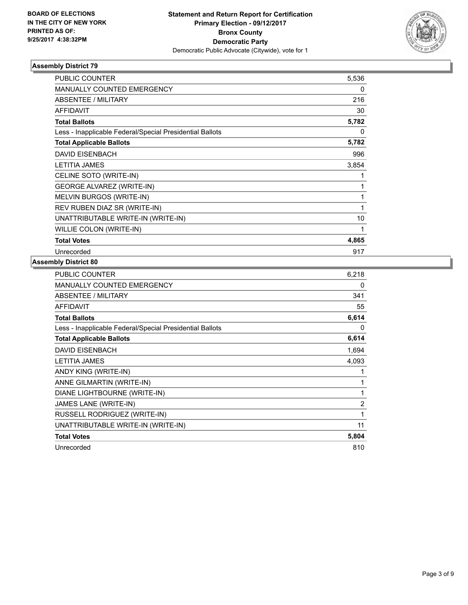

| <b>PUBLIC COUNTER</b>                                    | 5,536 |
|----------------------------------------------------------|-------|
| <b>MANUALLY COUNTED EMERGENCY</b>                        | 0     |
| ABSENTEE / MILITARY                                      | 216   |
| <b>AFFIDAVIT</b>                                         | 30    |
| <b>Total Ballots</b>                                     | 5,782 |
| Less - Inapplicable Federal/Special Presidential Ballots | 0     |
| <b>Total Applicable Ballots</b>                          | 5,782 |
| <b>DAVID EISENBACH</b>                                   | 996   |
| <b>LETITIA JAMES</b>                                     | 3,854 |
| CELINE SOTO (WRITE-IN)                                   | 1     |
| <b>GEORGE ALVAREZ (WRITE-IN)</b>                         | 1     |
| MELVIN BURGOS (WRITE-IN)                                 | 1     |
| REV RUBEN DIAZ SR (WRITE-IN)                             | 1     |
| UNATTRIBUTABLE WRITE-IN (WRITE-IN)                       | 10    |
| WILLIE COLON (WRITE-IN)                                  | 1     |
| <b>Total Votes</b>                                       | 4,865 |
| Unrecorded                                               | 917   |

| <b>PUBLIC COUNTER</b>                                    | 6,218 |
|----------------------------------------------------------|-------|
| MANUALLY COUNTED EMERGENCY                               | 0     |
| ABSENTEE / MILITARY                                      | 341   |
| <b>AFFIDAVIT</b>                                         | 55    |
| <b>Total Ballots</b>                                     | 6,614 |
| Less - Inapplicable Federal/Special Presidential Ballots | 0     |
| <b>Total Applicable Ballots</b>                          | 6,614 |
| <b>DAVID EISENBACH</b>                                   | 1,694 |
| <b>LETITIA JAMES</b>                                     | 4,093 |
| ANDY KING (WRITE-IN)                                     | 1     |
| ANNE GILMARTIN (WRITE-IN)                                | 1     |
| DIANE LIGHTBOURNE (WRITE-IN)                             | 1     |
| JAMES LANE (WRITE-IN)                                    | 2     |
| RUSSELL RODRIGUEZ (WRITE-IN)                             | 1     |
| UNATTRIBUTABLE WRITE-IN (WRITE-IN)                       | 11    |
| <b>Total Votes</b>                                       | 5,804 |
| Unrecorded                                               | 810   |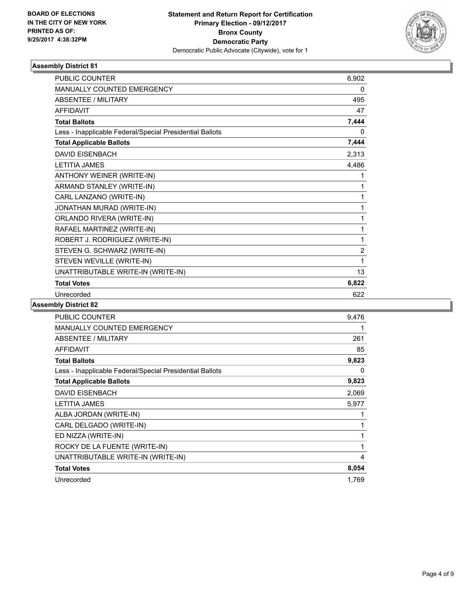

| <b>PUBLIC COUNTER</b>                                    | 6,902          |
|----------------------------------------------------------|----------------|
| MANUALLY COUNTED EMERGENCY                               | 0              |
| <b>ABSENTEE / MILITARY</b>                               | 495            |
| <b>AFFIDAVIT</b>                                         | 47             |
| <b>Total Ballots</b>                                     | 7,444          |
| Less - Inapplicable Federal/Special Presidential Ballots | 0              |
| <b>Total Applicable Ballots</b>                          | 7,444          |
| <b>DAVID EISENBACH</b>                                   | 2,313          |
| <b>LETITIA JAMES</b>                                     | 4,486          |
| ANTHONY WEINER (WRITE-IN)                                | 1              |
| ARMAND STANLEY (WRITE-IN)                                | 1              |
| CARL LANZANO (WRITE-IN)                                  | 1              |
| JONATHAN MURAD (WRITE-IN)                                | 1              |
| ORLANDO RIVERA (WRITE-IN)                                | 1              |
| RAFAEL MARTINEZ (WRITE-IN)                               | 1              |
| ROBERT J. RODRIGUEZ (WRITE-IN)                           | 1              |
| STEVEN G. SCHWARZ (WRITE-IN)                             | $\overline{2}$ |
| STEVEN WEVILLE (WRITE-IN)                                | 1              |
| UNATTRIBUTABLE WRITE-IN (WRITE-IN)                       | 13             |
| <b>Total Votes</b>                                       | 6,822          |
| Unrecorded                                               | 622            |

| <b>PUBLIC COUNTER</b>                                    | 9,476 |
|----------------------------------------------------------|-------|
| <b>MANUALLY COUNTED EMERGENCY</b>                        | 1     |
| ABSENTEE / MILITARY                                      | 261   |
| <b>AFFIDAVIT</b>                                         | 85    |
| <b>Total Ballots</b>                                     | 9,823 |
| Less - Inapplicable Federal/Special Presidential Ballots | 0     |
| <b>Total Applicable Ballots</b>                          | 9,823 |
| <b>DAVID EISENBACH</b>                                   | 2,069 |
| <b>LETITIA JAMES</b>                                     | 5,977 |
| ALBA JORDAN (WRITE-IN)                                   |       |
| CARL DELGADO (WRITE-IN)                                  | 1     |
| ED NIZZA (WRITE-IN)                                      | 1     |
| ROCKY DE LA FUENTE (WRITE-IN)                            | 1     |
| UNATTRIBUTABLE WRITE-IN (WRITE-IN)                       | 4     |
| <b>Total Votes</b>                                       | 8,054 |
| Unrecorded                                               | 1,769 |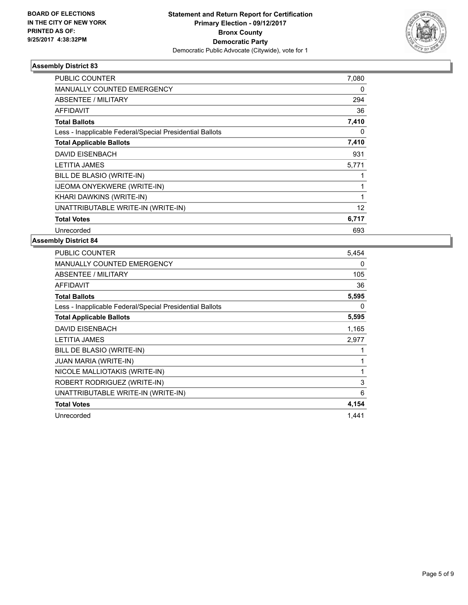

| PUBLIC COUNTER                                           | 7,080 |
|----------------------------------------------------------|-------|
| MANUALLY COUNTED EMERGENCY                               | 0     |
| ABSENTEE / MILITARY                                      | 294   |
| <b>AFFIDAVIT</b>                                         | 36    |
| <b>Total Ballots</b>                                     | 7,410 |
| Less - Inapplicable Federal/Special Presidential Ballots | 0     |
| <b>Total Applicable Ballots</b>                          | 7,410 |
| <b>DAVID EISENBACH</b>                                   | 931   |
| <b>LETITIA JAMES</b>                                     | 5,771 |
| BILL DE BLASIO (WRITE-IN)                                |       |
| <b>IJEOMA ONYEKWERE (WRITE-IN)</b>                       | 1     |
| KHARI DAWKINS (WRITE-IN)                                 |       |
| UNATTRIBUTABLE WRITE-IN (WRITE-IN)                       | 12    |
| <b>Total Votes</b>                                       | 6,717 |
| Unrecorded                                               | 693   |

| PUBLIC COUNTER                                           | 5,454 |
|----------------------------------------------------------|-------|
| <b>MANUALLY COUNTED EMERGENCY</b>                        | 0     |
| <b>ABSENTEE / MILITARY</b>                               | 105   |
| <b>AFFIDAVIT</b>                                         | 36    |
| <b>Total Ballots</b>                                     | 5,595 |
| Less - Inapplicable Federal/Special Presidential Ballots | 0     |
| <b>Total Applicable Ballots</b>                          | 5,595 |
| <b>DAVID EISENBACH</b>                                   | 1,165 |
| <b>LETITIA JAMES</b>                                     | 2,977 |
| BILL DE BLASIO (WRITE-IN)                                | 1     |
| JUAN MARIA (WRITE-IN)                                    | 1     |
| NICOLE MALLIOTAKIS (WRITE-IN)                            | 1     |
| ROBERT RODRIGUEZ (WRITE-IN)                              | 3     |
| UNATTRIBUTABLE WRITE-IN (WRITE-IN)                       | 6     |
| <b>Total Votes</b>                                       | 4,154 |
| Unrecorded                                               | 1,441 |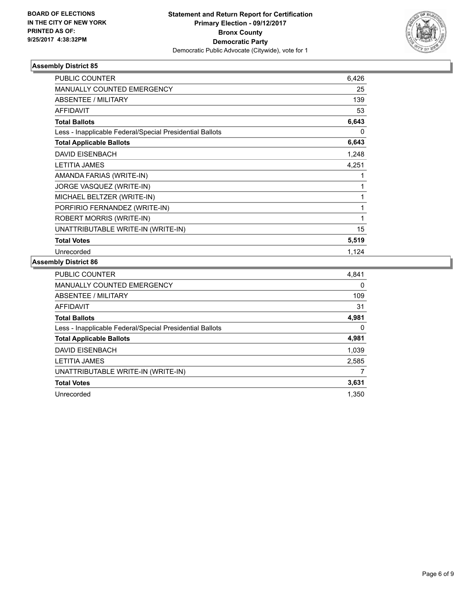

| PUBLIC COUNTER                                           | 6,426 |
|----------------------------------------------------------|-------|
| MANUALLY COUNTED EMERGENCY                               | 25    |
| ABSENTEE / MILITARY                                      | 139   |
| <b>AFFIDAVIT</b>                                         | 53    |
| <b>Total Ballots</b>                                     | 6,643 |
| Less - Inapplicable Federal/Special Presidential Ballots | 0     |
| <b>Total Applicable Ballots</b>                          | 6,643 |
| <b>DAVID EISENBACH</b>                                   | 1,248 |
| <b>LETITIA JAMES</b>                                     | 4,251 |
| AMANDA FARIAS (WRITE-IN)                                 |       |
| JORGE VASQUEZ (WRITE-IN)                                 | 1     |
| MICHAEL BELTZER (WRITE-IN)                               | 1     |
| PORFIRIO FERNANDEZ (WRITE-IN)                            | 1     |
| ROBERT MORRIS (WRITE-IN)                                 | 1     |
| UNATTRIBUTABLE WRITE-IN (WRITE-IN)                       | 15    |
| <b>Total Votes</b>                                       | 5,519 |
| Unrecorded                                               | 1,124 |

| PUBLIC COUNTER                                           | 4,841    |
|----------------------------------------------------------|----------|
| <b>MANUALLY COUNTED EMERGENCY</b>                        | 0        |
| ABSENTEE / MILITARY                                      | 109      |
| AFFIDAVIT                                                | 31       |
| <b>Total Ballots</b>                                     | 4,981    |
| Less - Inapplicable Federal/Special Presidential Ballots | $\Omega$ |
| <b>Total Applicable Ballots</b>                          | 4,981    |
| <b>DAVID EISENBACH</b>                                   | 1,039    |
| <b>LETITIA JAMES</b>                                     | 2,585    |
| UNATTRIBUTABLE WRITE-IN (WRITE-IN)                       |          |
| <b>Total Votes</b>                                       | 3,631    |
| Unrecorded                                               | 1.350    |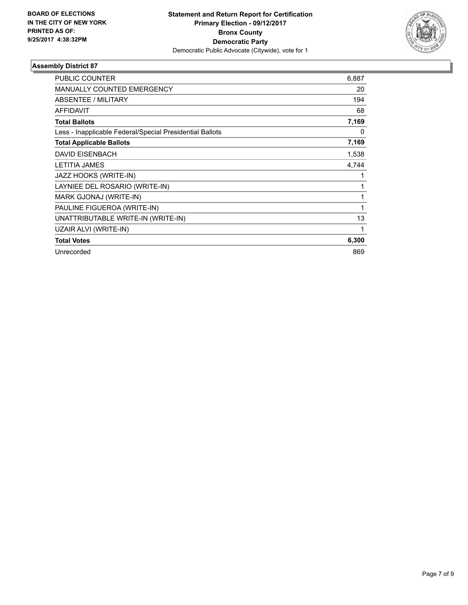

| <b>PUBLIC COUNTER</b>                                    | 6,887 |
|----------------------------------------------------------|-------|
| <b>MANUALLY COUNTED EMERGENCY</b>                        | 20    |
| <b>ABSENTEE / MILITARY</b>                               | 194   |
| <b>AFFIDAVIT</b>                                         | 68    |
| <b>Total Ballots</b>                                     | 7,169 |
| Less - Inapplicable Federal/Special Presidential Ballots | 0     |
| <b>Total Applicable Ballots</b>                          | 7,169 |
| <b>DAVID EISENBACH</b>                                   | 1,538 |
| <b>LETITIA JAMES</b>                                     | 4.744 |
| JAZZ HOOKS (WRITE-IN)                                    |       |
| LAYNIEE DEL ROSARIO (WRITE-IN)                           |       |
| MARK GJONAJ (WRITE-IN)                                   |       |
| PAULINE FIGUEROA (WRITE-IN)                              | 1     |
| UNATTRIBUTABLE WRITE-IN (WRITE-IN)                       | 13    |
| UZAIR ALVI (WRITE-IN)                                    |       |
| <b>Total Votes</b>                                       | 6,300 |
| Unrecorded                                               | 869   |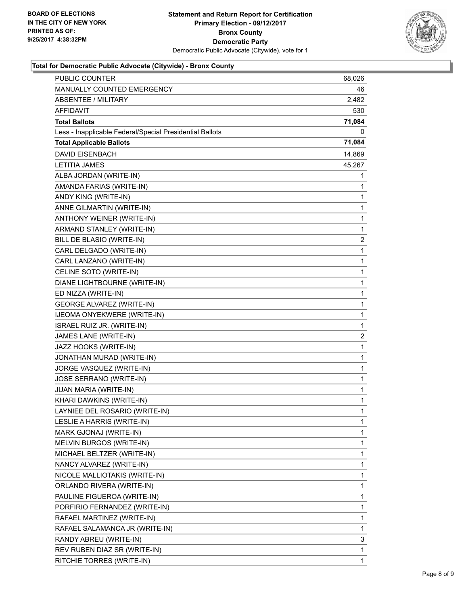

# **Total for Democratic Public Advocate (Citywide) - Bronx County**

| <b>PUBLIC COUNTER</b>                                    | 68,026       |
|----------------------------------------------------------|--------------|
| MANUALLY COUNTED EMERGENCY                               | 46           |
| <b>ABSENTEE / MILITARY</b>                               | 2,482        |
| AFFIDAVIT                                                | 530          |
| <b>Total Ballots</b>                                     | 71,084       |
| Less - Inapplicable Federal/Special Presidential Ballots | 0            |
| <b>Total Applicable Ballots</b>                          | 71,084       |
| <b>DAVID EISENBACH</b>                                   | 14,869       |
| <b>LETITIA JAMES</b>                                     | 45,267       |
| ALBA JORDAN (WRITE-IN)                                   | 1            |
| AMANDA FARIAS (WRITE-IN)                                 | 1            |
| ANDY KING (WRITE-IN)                                     | 1            |
| ANNE GILMARTIN (WRITE-IN)                                | 1            |
| ANTHONY WEINER (WRITE-IN)                                | 1            |
| ARMAND STANLEY (WRITE-IN)                                | 1            |
| BILL DE BLASIO (WRITE-IN)                                | 2            |
| CARL DELGADO (WRITE-IN)                                  | 1            |
| CARL LANZANO (WRITE-IN)                                  | 1            |
| CELINE SOTO (WRITE-IN)                                   | 1            |
| DIANE LIGHTBOURNE (WRITE-IN)                             | $\mathbf 1$  |
| ED NIZZA (WRITE-IN)                                      | $\mathbf 1$  |
| <b>GEORGE ALVAREZ (WRITE-IN)</b>                         | 1            |
| IJEOMA ONYEKWERE (WRITE-IN)                              | 1            |
| ISRAEL RUIZ JR. (WRITE-IN)                               | 1            |
| JAMES LANE (WRITE-IN)                                    | 2            |
| JAZZ HOOKS (WRITE-IN)                                    | 1            |
| JONATHAN MURAD (WRITE-IN)                                | $\mathbf 1$  |
| JORGE VASQUEZ (WRITE-IN)                                 | 1            |
| JOSE SERRANO (WRITE-IN)                                  | 1            |
| JUAN MARIA (WRITE-IN)                                    | 1            |
| KHARI DAWKINS (WRITE-IN)                                 | 1            |
| LAYNIEE DEL ROSARIO (WRITE-IN)                           | $\mathbf{1}$ |
| LESLIE A HARRIS (WRITE-IN)                               | 1            |
| MARK GJONAJ (WRITE-IN)                                   | 1            |
| MELVIN BURGOS (WRITE-IN)                                 | 1            |
| MICHAEL BELTZER (WRITE-IN)                               | 1            |
| NANCY ALVAREZ (WRITE-IN)                                 | 1            |
| NICOLE MALLIOTAKIS (WRITE-IN)                            | 1            |
| ORLANDO RIVERA (WRITE-IN)                                | 1            |
| PAULINE FIGUEROA (WRITE-IN)                              | 1            |
| PORFIRIO FERNANDEZ (WRITE-IN)                            | 1            |
| RAFAEL MARTINEZ (WRITE-IN)                               | 1            |
| RAFAEL SALAMANCA JR (WRITE-IN)                           | 1            |
| RANDY ABREU (WRITE-IN)                                   | 3            |
| REV RUBEN DIAZ SR (WRITE-IN)                             | 1            |
| RITCHIE TORRES (WRITE-IN)                                | 1            |